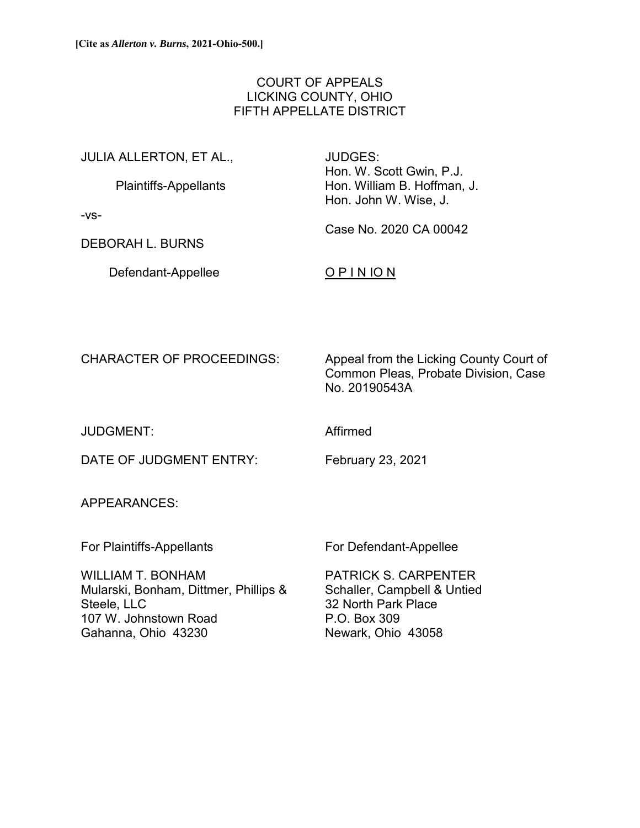# COURT OF APPEALS LICKING COUNTY, OHIO FIFTH APPELLATE DISTRICT

JULIA ALLERTON, ET AL., JUDGES: Hon. W. Scott Gwin, P.J. Plaintiffs-Appellants Hon. William B. Hoffman, J. Hon. John W. Wise, J. -vs- Case No. 2020 CA 00042

DEBORAH L. BURNS

Defendant-Appellee **O P I N IO N** 

CHARACTER OF PROCEEDINGS: Appeal from the Licking County Court of Common Pleas, Probate Division, Case No. 20190543A

JUDGMENT: Affirmed

DATE OF JUDGMENT ENTRY: February 23, 2021

APPEARANCES:

WILLIAM T. BONHAM PATRICK S. CARPENTER Mularski, Bonham, Dittmer, Phillips & Schaller, Campbell & Untied Steele, LLC 32 North Park Place 107 W. Johnstown Road P.O. Box 309 Gahanna, Ohio 43230 Newark, Ohio 43058

For Plaintiffs-Appellants For Defendant-Appellee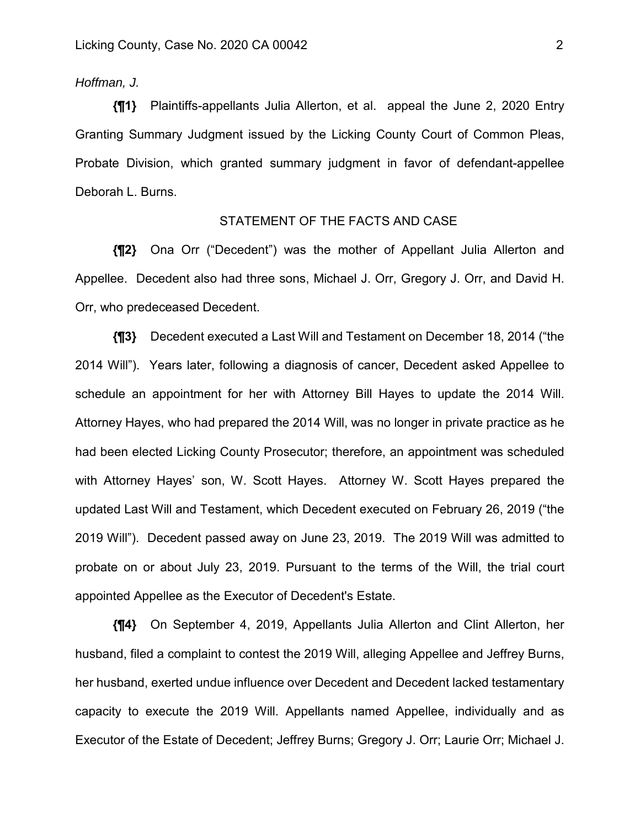## *Hoffman, J.*

**{¶1}** Plaintiffs-appellants Julia Allerton, et al. appeal the June 2, 2020 Entry Granting Summary Judgment issued by the Licking County Court of Common Pleas, Probate Division, which granted summary judgment in favor of defendant-appellee Deborah L. Burns.

### STATEMENT OF THE FACTS AND CASE

**{¶2}** Ona Orr ("Decedent") was the mother of Appellant Julia Allerton and Appellee. Decedent also had three sons, Michael J. Orr, Gregory J. Orr, and David H. Orr, who predeceased Decedent.

**{¶3}** Decedent executed a Last Will and Testament on December 18, 2014 ("the 2014 Will"). Years later, following a diagnosis of cancer, Decedent asked Appellee to schedule an appointment for her with Attorney Bill Hayes to update the 2014 Will. Attorney Hayes, who had prepared the 2014 Will, was no longer in private practice as he had been elected Licking County Prosecutor; therefore, an appointment was scheduled with Attorney Hayes' son, W. Scott Hayes. Attorney W. Scott Hayes prepared the updated Last Will and Testament, which Decedent executed on February 26, 2019 ("the 2019 Will"). Decedent passed away on June 23, 2019. The 2019 Will was admitted to probate on or about July 23, 2019. Pursuant to the terms of the Will, the trial court appointed Appellee as the Executor of Decedent's Estate.

**{¶4}** On September 4, 2019, Appellants Julia Allerton and Clint Allerton, her husband, filed a complaint to contest the 2019 Will, alleging Appellee and Jeffrey Burns, her husband, exerted undue influence over Decedent and Decedent lacked testamentary capacity to execute the 2019 Will. Appellants named Appellee, individually and as Executor of the Estate of Decedent; Jeffrey Burns; Gregory J. Orr; Laurie Orr; Michael J.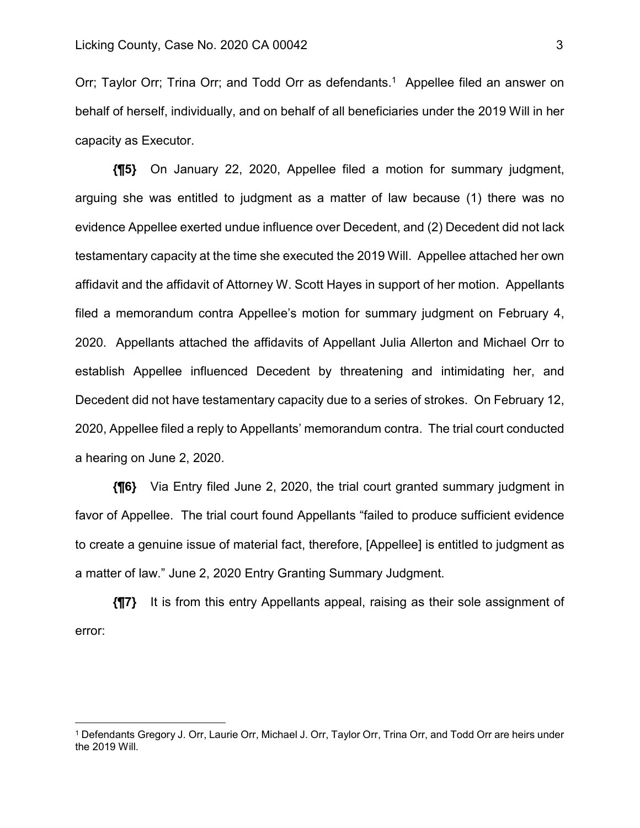Orr; Taylor Orr; Trina Orr; and Todd Orr as defendants.<sup>1</sup> Appellee filed an answer on behalf of herself, individually, and on behalf of all beneficiaries under the 2019 Will in her capacity as Executor.

**{¶5}** On January 22, 2020, Appellee filed a motion for summary judgment, arguing she was entitled to judgment as a matter of law because (1) there was no evidence Appellee exerted undue influence over Decedent, and (2) Decedent did not lack testamentary capacity at the time she executed the 2019 Will. Appellee attached her own affidavit and the affidavit of Attorney W. Scott Hayes in support of her motion. Appellants filed a memorandum contra Appellee's motion for summary judgment on February 4, 2020. Appellants attached the affidavits of Appellant Julia Allerton and Michael Orr to establish Appellee influenced Decedent by threatening and intimidating her, and Decedent did not have testamentary capacity due to a series of strokes. On February 12, 2020, Appellee filed a reply to Appellants' memorandum contra. The trial court conducted a hearing on June 2, 2020.

**{¶6}** Via Entry filed June 2, 2020, the trial court granted summary judgment in favor of Appellee. The trial court found Appellants "failed to produce sufficient evidence to create a genuine issue of material fact, therefore, [Appellee] is entitled to judgment as a matter of law." June 2, 2020 Entry Granting Summary Judgment.

**{¶7}** It is from this entry Appellants appeal, raising as their sole assignment of error:

 $\overline{a}$ 

<sup>1</sup> Defendants Gregory J. Orr, Laurie Orr, Michael J. Orr, Taylor Orr, Trina Orr, and Todd Orr are heirs under the 2019 Will.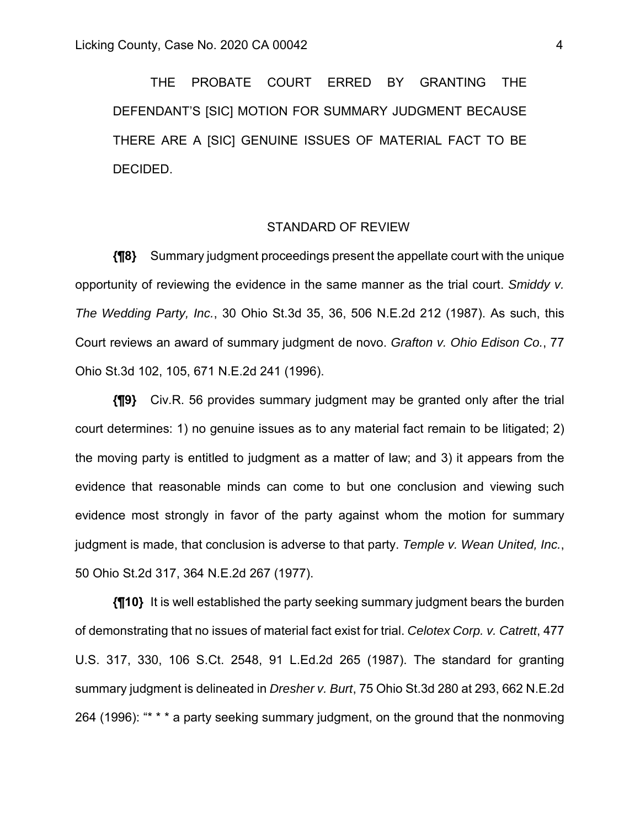THE PROBATE COURT ERRED BY GRANTING THE DEFENDANT'S [SIC] MOTION FOR SUMMARY JUDGMENT BECAUSE THERE ARE A [SIC] GENUINE ISSUES OF MATERIAL FACT TO BE DECIDED.

#### STANDARD OF REVIEW

**{¶8}** Summary judgment proceedings present the appellate court with the unique opportunity of reviewing the evidence in the same manner as the trial court. *Smiddy v. The Wedding Party, Inc.*, 30 Ohio St.3d 35, 36, 506 N.E.2d 212 (1987). As such, this Court reviews an award of summary judgment de novo. *Grafton v. Ohio Edison Co.*, 77 Ohio St.3d 102, 105, 671 N.E.2d 241 (1996).

**{¶9}** Civ.R. 56 provides summary judgment may be granted only after the trial court determines: 1) no genuine issues as to any material fact remain to be litigated; 2) the moving party is entitled to judgment as a matter of law; and 3) it appears from the evidence that reasonable minds can come to but one conclusion and viewing such evidence most strongly in favor of the party against whom the motion for summary judgment is made, that conclusion is adverse to that party. *Temple v. Wean United, Inc.*, 50 Ohio St.2d 317, 364 N.E.2d 267 (1977).

**{¶10}** It is well established the party seeking summary judgment bears the burden of demonstrating that no issues of material fact exist for trial. *Celotex Corp. v. Catrett*, 477 U.S. 317, 330, 106 S.Ct. 2548, 91 L.Ed.2d 265 (1987). The standard for granting summary judgment is delineated in *Dresher v. Burt*, 75 Ohio St.3d 280 at 293, 662 N.E.2d 264 (1996): "\* \* \* a party seeking summary judgment, on the ground that the nonmoving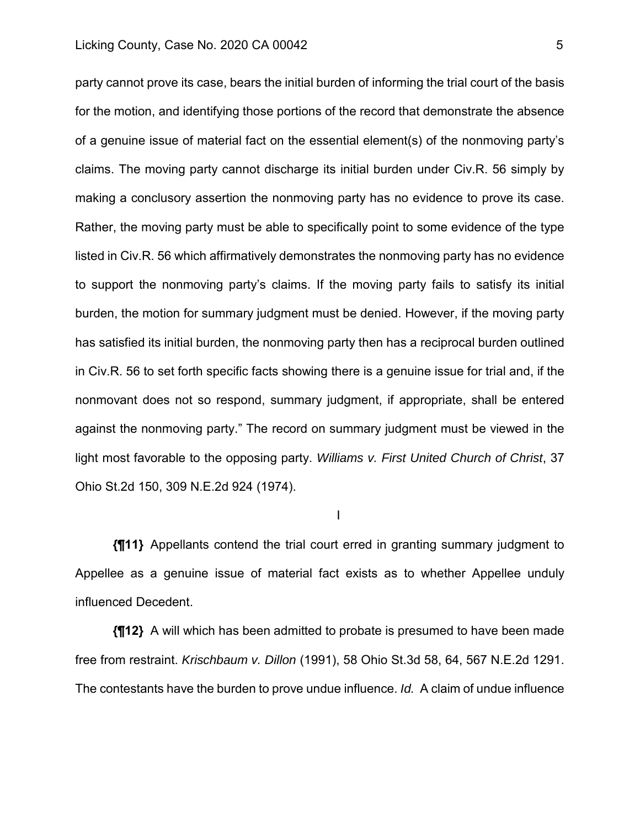#### Licking County, Case No. 2020 CA 00042 **5 5**

party cannot prove its case, bears the initial burden of informing the trial court of the basis for the motion, and identifying those portions of the record that demonstrate the absence of a genuine issue of material fact on the essential element(s) of the nonmoving party's claims. The moving party cannot discharge its initial burden under Civ.R. 56 simply by making a conclusory assertion the nonmoving party has no evidence to prove its case. Rather, the moving party must be able to specifically point to some evidence of the type listed in Civ.R. 56 which affirmatively demonstrates the nonmoving party has no evidence to support the nonmoving party's claims. If the moving party fails to satisfy its initial burden, the motion for summary judgment must be denied. However, if the moving party has satisfied its initial burden, the nonmoving party then has a reciprocal burden outlined in Civ.R. 56 to set forth specific facts showing there is a genuine issue for trial and, if the nonmovant does not so respond, summary judgment, if appropriate, shall be entered against the nonmoving party." The record on summary judgment must be viewed in the light most favorable to the opposing party. *Williams v. First United Church of Christ*, 37 Ohio St.2d 150, 309 N.E.2d 924 (1974).

I

**{¶11}** Appellants contend the trial court erred in granting summary judgment to Appellee as a genuine issue of material fact exists as to whether Appellee unduly influenced Decedent.

**{¶12}** A will which has been admitted to probate is presumed to have been made free from restraint. *Krischbaum v. Dillon* (1991), 58 Ohio St.3d 58, 64, 567 N.E.2d 1291. The contestants have the burden to prove undue influence. *Id.* A claim of undue influence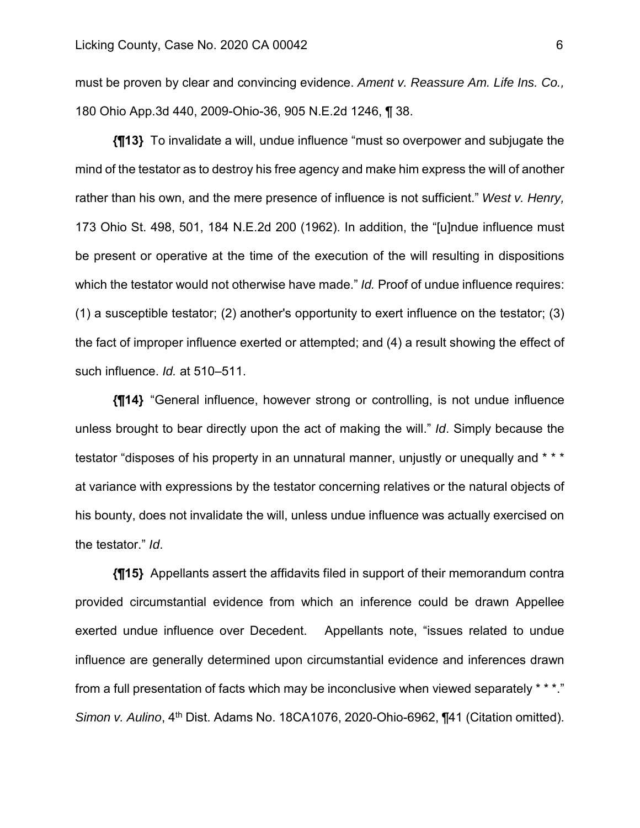must be proven by clear and convincing evidence. *Ament v. Reassure Am. Life Ins. Co.,* 180 Ohio App.3d 440, 2009-Ohio-36, 905 N.E.2d 1246, ¶ 38.

**{¶13}** To invalidate a will, undue influence "must so overpower and subjugate the mind of the testator as to destroy his free agency and make him express the will of another rather than his own, and the mere presence of influence is not sufficient." *West v. Henry,* 173 Ohio St. 498, 501, 184 N.E.2d 200 (1962). In addition, the "[u]ndue influence must be present or operative at the time of the execution of the will resulting in dispositions which the testator would not otherwise have made." *Id.* Proof of undue influence requires: (1) a susceptible testator; (2) another's opportunity to exert influence on the testator; (3) the fact of improper influence exerted or attempted; and (4) a result showing the effect of such influence. *Id.* at 510–511.

**{¶14}** "General influence, however strong or controlling, is not undue influence unless brought to bear directly upon the act of making the will." *Id*. Simply because the testator "disposes of his property in an unnatural manner, unjustly or unequally and \* \* \* at variance with expressions by the testator concerning relatives or the natural objects of his bounty, does not invalidate the will, unless undue influence was actually exercised on the testator." *Id*.

**{¶15}** Appellants assert the affidavits filed in support of their memorandum contra provided circumstantial evidence from which an inference could be drawn Appellee exerted undue influence over Decedent. Appellants note, "issues related to undue influence are generally determined upon circumstantial evidence and inferences drawn from a full presentation of facts which may be inconclusive when viewed separately \* \* \*." *Simon v. Aulino*, 4th Dist. Adams No. 18CA1076, 2020-Ohio-6962, ¶41 (Citation omitted).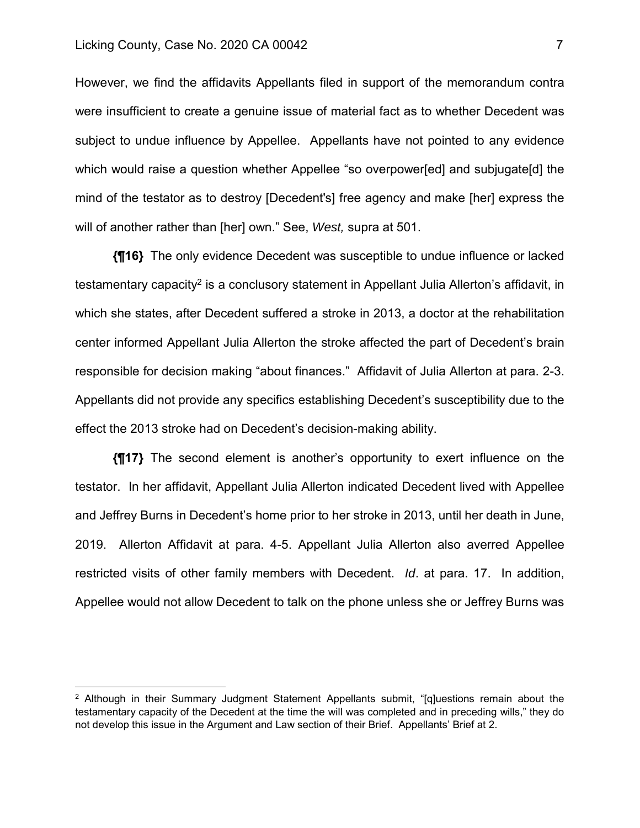#### Licking County, Case No. 2020 CA 00042 **7** and the set of the set of the set of the set of the set of the set of the set of the set of the set of the set of the set of the set of the set of the set of the set of the set of

<u>.</u>

However, we find the affidavits Appellants filed in support of the memorandum contra were insufficient to create a genuine issue of material fact as to whether Decedent was subject to undue influence by Appellee. Appellants have not pointed to any evidence which would raise a question whether Appellee "so overpower[ed] and subjugate[d] the mind of the testator as to destroy [Decedent's] free agency and make [her] express the will of another rather than [her] own." See, *West,* supra at 501.

**{¶16}** The only evidence Decedent was susceptible to undue influence or lacked testamentary capacity<sup>2</sup> is a conclusory statement in Appellant Julia Allerton's affidavit, in which she states, after Decedent suffered a stroke in 2013, a doctor at the rehabilitation center informed Appellant Julia Allerton the stroke affected the part of Decedent's brain responsible for decision making "about finances." Affidavit of Julia Allerton at para. 2-3. Appellants did not provide any specifics establishing Decedent's susceptibility due to the effect the 2013 stroke had on Decedent's decision-making ability.

**{¶17}** The second element is another's opportunity to exert influence on the testator. In her affidavit, Appellant Julia Allerton indicated Decedent lived with Appellee and Jeffrey Burns in Decedent's home prior to her stroke in 2013, until her death in June, 2019. Allerton Affidavit at para. 4-5. Appellant Julia Allerton also averred Appellee restricted visits of other family members with Decedent. *Id*. at para. 17. In addition, Appellee would not allow Decedent to talk on the phone unless she or Jeffrey Burns was

<sup>&</sup>lt;sup>2</sup> Although in their Summary Judgment Statement Appellants submit, "[g]uestions remain about the testamentary capacity of the Decedent at the time the will was completed and in preceding wills," they do not develop this issue in the Argument and Law section of their Brief. Appellants' Brief at 2.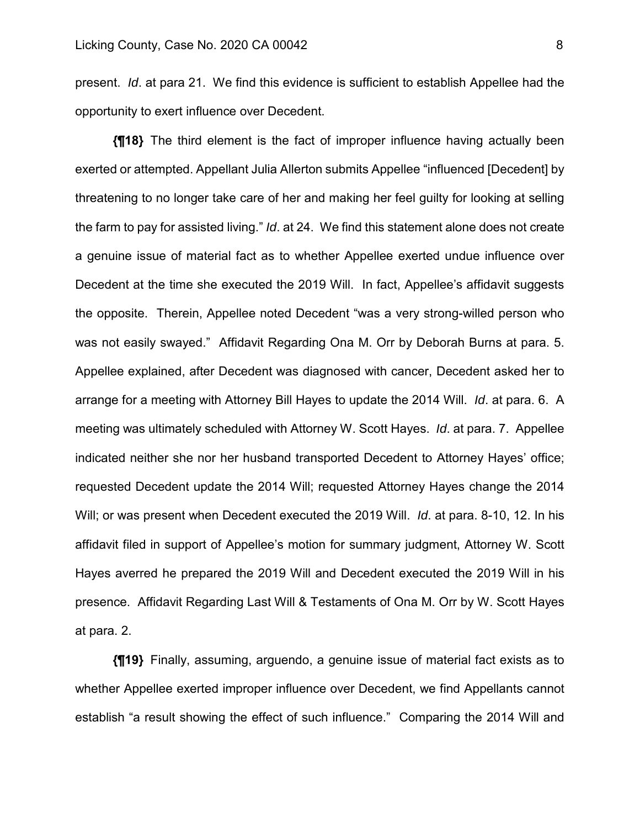present. *Id*. at para 21. We find this evidence is sufficient to establish Appellee had the opportunity to exert influence over Decedent.

**{¶18}** The third element is the fact of improper influence having actually been exerted or attempted. Appellant Julia Allerton submits Appellee "influenced [Decedent] by threatening to no longer take care of her and making her feel guilty for looking at selling the farm to pay for assisted living." *Id*. at 24. We find this statement alone does not create a genuine issue of material fact as to whether Appellee exerted undue influence over Decedent at the time she executed the 2019 Will. In fact, Appellee's affidavit suggests the opposite. Therein, Appellee noted Decedent "was a very strong-willed person who was not easily swayed." Affidavit Regarding Ona M. Orr by Deborah Burns at para. 5. Appellee explained, after Decedent was diagnosed with cancer, Decedent asked her to arrange for a meeting with Attorney Bill Hayes to update the 2014 Will. *Id*. at para. 6. A meeting was ultimately scheduled with Attorney W. Scott Hayes. *Id*. at para. 7. Appellee indicated neither she nor her husband transported Decedent to Attorney Hayes' office; requested Decedent update the 2014 Will; requested Attorney Hayes change the 2014 Will; or was present when Decedent executed the 2019 Will. *Id*. at para. 8-10, 12. In his affidavit filed in support of Appellee's motion for summary judgment, Attorney W. Scott Hayes averred he prepared the 2019 Will and Decedent executed the 2019 Will in his presence. Affidavit Regarding Last Will & Testaments of Ona M. Orr by W. Scott Hayes at para. 2.

**{¶19}** Finally, assuming, arguendo, a genuine issue of material fact exists as to whether Appellee exerted improper influence over Decedent, we find Appellants cannot establish "a result showing the effect of such influence." Comparing the 2014 Will and